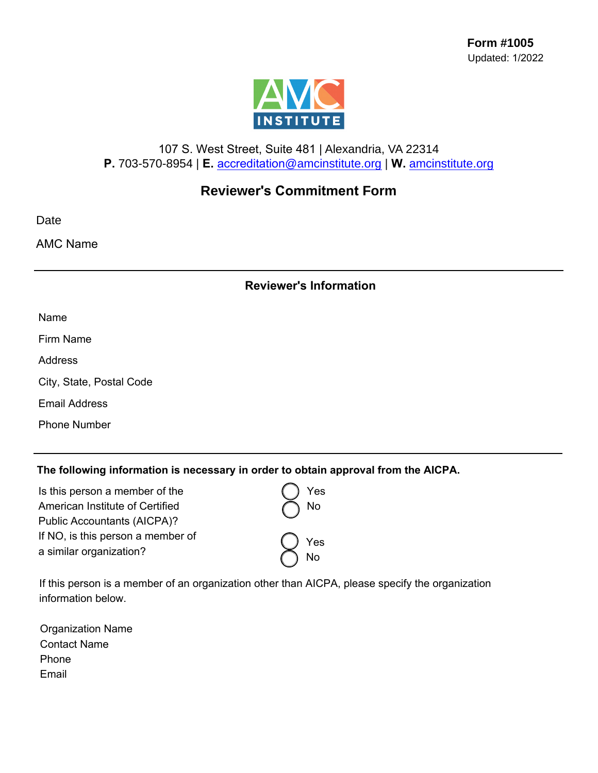

## 107 S. West Street, Suite 481 | Alexandria, VA 22314 **P.** 703-570-8954 | **E.** accreditation[@amcinstitute.org](mailto:accreditation@amcinstitute.org) | **W.** [amcinstitute.org](http://amcinstitute.org)

# **Reviewer's Commitment Form**

Date

AMC Name

### **Reviewer's Information**

| ۰.<br>ю, |
|----------|
|----------|

Firm Name

**Address** 

City, State, Postal Code

Email Address

Phone Number

### **The following information is necessary in order to obtain approval from the AICPA.**

| Is this person a member of the    | Yes  |
|-----------------------------------|------|
| American Institute of Certified   | No   |
| Public Accountants (AICPA)?       |      |
| If NO, is this person a member of | )Yes |
| a similar organization?           |      |
|                                   | No   |

If this person is a member of an organization other than AICPA, please specify the organization information below.

Organization Name Contact Name Phone Email